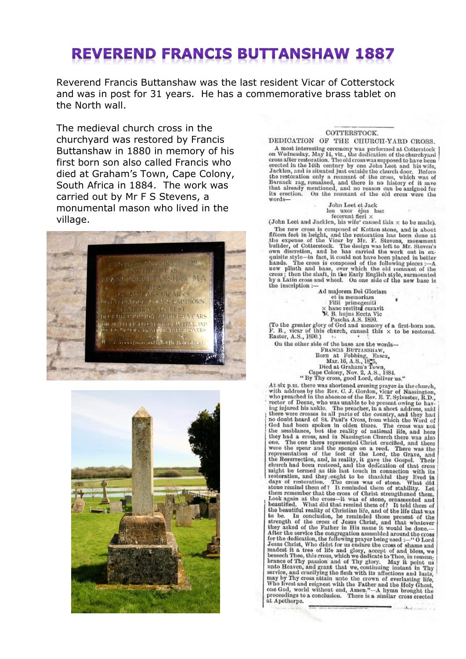## **REVEREND FRANCIS BUTTANSHAW 1887**

Reverend Francis Buttanshaw was the last resident Vicar of Cotterstock and was in post for 31 years. He has a commemorative brass tablet on the North wall.

The medieval church cross in the churchyard was restored by Francis Buttanshaw in 1880 in memory of his first born son also called Francis who died at Graham's Town, Cape Colony, South Africa in 1884. The work was carried out by Mr F S Stevens, a monumental mason who lived in the village.





## COTTERSTOCK.

DEDICATION OF THE CHURCH-YARD CROSS. A most interesting ceremony was performed at Cotterstock<br>on Wednesday, May 14, viz., the dedication of the churchyard<br>cross after restoration. The old cross was supposed to have been<br>erected in the 14th century by one John out and in its studies use outside the current door. Before<br>the restoration only a remaint of the coss, which was of<br>Barnack rag, remained, and there is no history of it save<br>that already mentioned, and no reason can be as words-

 $\begin{tabular}{ll} & \textbf{John Leet et Jack} \\ & \textbf{len } u \textbf{x} or & \textbf{d} \textbf{jas} - \textbf{h} \textbf{c} \\ & \textbf{fecerunt fieri} \times \\ & \textbf{(John Leet and Jacklen, his wife' caused this} \times \textbf{to be made).} \end{tabular}$ (John Leet and Jacklen, his wife' caused this  $\times$  to be made).<br>The new cross is composed of Ketton stone, and is about<br>fitteen feet in height, and the restoration has been done at<br>the expense of the Vicar by Mr. F. Steve the inscription:

Ad majorem Dei Gloriam et in memoriam Filii primogeniti

 $\begin{tabular}{lcl} & run & primogenic\\ & \times \text{ home resistut curvature}\\ & \text{ $T$s. Inujus Eecta Nic}\\ (To the greater glory of God and memory of a first-born son.}\\ F. B., vier of this church, caused this $\times$ to be restored.\\ \textbf{Easter, A.S., 1890.)} \end{tabular}$ 

asive, A.S., 1000.)<br>On the other side of the base are the words—<br>FRANCIS BUTTANSHAW,<br>Born at Fobbing, Essex,<br>Died at Graham's Town,<br>Cape Colony, Nov. 2, A.S., 1884.<br>"By Thy cross, good Lord, deliver us." Cape Colony, Nov. 2, A.S., ISS4.<br>
"Experience with the colony, Nov. 2, A.S., ISS4.<br>
"In The Town cas shortened evening prayer in the church, with a diverse was shortened evening prayer in the church, who preached in the a Have y ray with the Father and the consumer me,<br>who livest and reignest with the Father and the Holy Ghost,<br>one God, world without end, Amen."—A hymn brought the<br>proceedings to a conclusion. There is a similar cross erecte at Apethorpe.